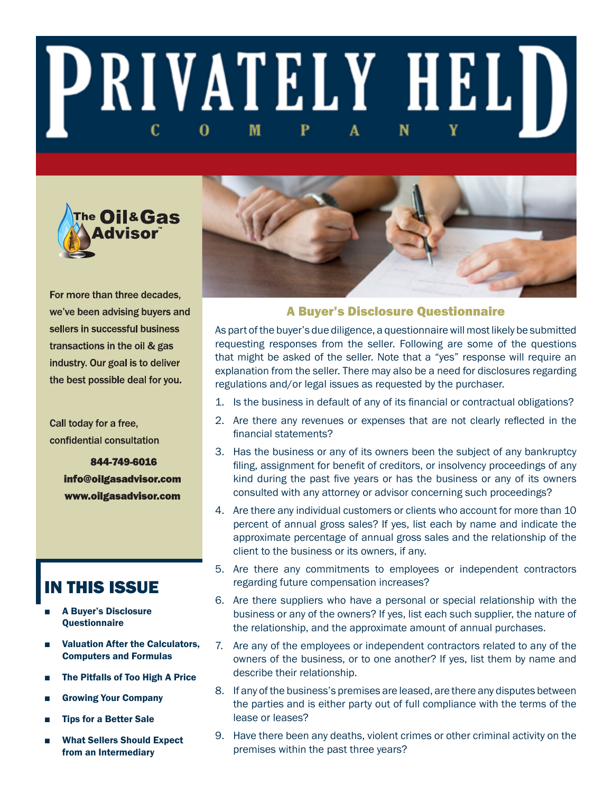# **PRIVATELY HELD** M 0



For more than three decades, we've been advising buyers and sellers in successful business transactions in the oil & gas industry. Our goal is to deliver the best possible deal for you.

Call today for a free, confidential consultation

> 844-749-6016 info@oilgasadvisor.com www.oilgasadvisor.com

# IN THIS ISSUE

- **A Buyer's Disclosure** Questionnaire
- **Valuation After the Calculators,** Computers and Formulas
- The Pitfalls of Too High A Price
- Growing Your Company
- **Tips for a Better Sale**
- **What Sellers Should Expect** from an Intermediary



# A Buyer's Disclosure Questionnaire

As part of the buyer's due diligence, a questionnaire will most likely be submitted requesting responses from the seller. Following are some of the questions that might be asked of the seller. Note that a "yes" response will require an explanation from the seller. There may also be a need for disclosures regarding regulations and/or legal issues as requested by the purchaser.

- 1. Is the business in default of any of its financial or contractual obligations?
- 2. Are there any revenues or expenses that are not clearly reflected in the financial statements?
- 3. Has the business or any of its owners been the subject of any bankruptcy filing, assignment for benefit of creditors, or insolvency proceedings of any kind during the past five years or has the business or any of its owners consulted with any attorney or advisor concerning such proceedings?
- 4. Are there any individual customers or clients who account for more than 10 percent of annual gross sales? If yes, list each by name and indicate the approximate percentage of annual gross sales and the relationship of the client to the business or its owners, if any.
- 5. Are there any commitments to employees or independent contractors regarding future compensation increases?
- 6. Are there suppliers who have a personal or special relationship with the business or any of the owners? If yes, list each such supplier, the nature of the relationship, and the approximate amount of annual purchases.
- 7. Are any of the employees or independent contractors related to any of the owners of the business, or to one another? If yes, list them by name and describe their relationship.
- 8. If any of the business's premises are leased, are there any disputes between the parties and is either party out of full compliance with the terms of the lease or leases?
- 9. Have there been any deaths, violent crimes or other criminal activity on the premises within the past three years?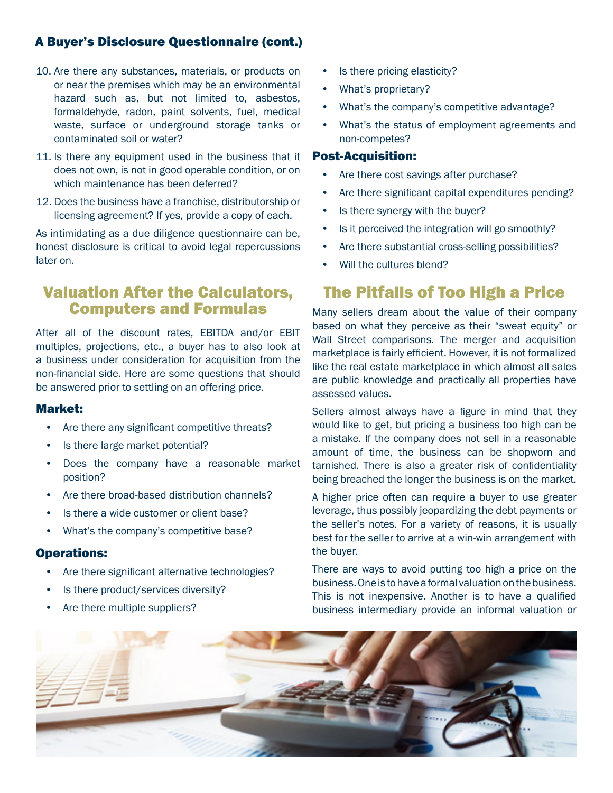# A Buyer's Disclosure Questionnaire (cont.)

- 10. Are there any substances, materials, or products on or near the premises which may be an environmental hazard such as, but not limited to, asbestos, formaldehyde, radon, paint solvents, fuel, medical waste, surface or underground storage tanks or contaminated soil or water?
- 11. Is there any equipment used in the business that it does not own, is not in good operable condition, or on which maintenance has been deferred?
- 12. Does the business have a franchise, distributorship or licensing agreement? If yes, provide a copy of each.

As intimidating as a due diligence questionnaire can be, honest disclosure is critical to avoid legal repercussions later on.

# Valuation After the Calculators, Computers and Formulas

After all of the discount rates, EBITDA and/or EBIT multiples, projections, etc., a buyer has to also look at a business under consideration for acquisition from the non-financial side. Here are some questions that should be answered prior to settling on an offering price.

# Market:

- Are there any significant competitive threats?
- Is there large market potential?
- Does the company have a reasonable market position?
- Are there broad-based distribution channels?
- Is there a wide customer or client base?
- What's the company's competitive base?

# Operations:

- Are there significant alternative technologies?
- Is there product/services diversity?
- Are there multiple suppliers?
- Is there pricing elasticity?
- What's proprietary?
- What's the company's competitive advantage?
- What's the status of employment agreements and non-competes?

#### Post-Acquisition:

- Are there cost savings after purchase?
- Are there significant capital expenditures pending?
- Is there synergy with the buyer?
- Is it perceived the integration will go smoothly?
- Are there substantial cross-selling possibilities?
- Will the cultures blend?

# The Pitfalls of Too High a Price

Many sellers dream about the value of their company based on what they perceive as their "sweat equity" or Wall Street comparisons. The merger and acquisition marketplace is fairly efficient. However, it is not formalized like the real estate marketplace in which almost all sales are public knowledge and practically all properties have assessed values.

Sellers almost always have a figure in mind that they would like to get, but pricing a business too high can be a mistake. If the company does not sell in a reasonable amount of time, the business can be shopworn and tarnished. There is also a greater risk of confidentiality being breached the longer the business is on the market.

A higher price often can require a buyer to use greater leverage, thus possibly jeopardizing the debt payments or the seller's notes. For a variety of reasons, it is usually best for the seller to arrive at a win-win arrangement with the buyer.

There are ways to avoid putting too high a price on the business. One is to have a formal valuation on the business. This is not inexpensive. Another is to have a qualified business intermediary provide an informal valuation or

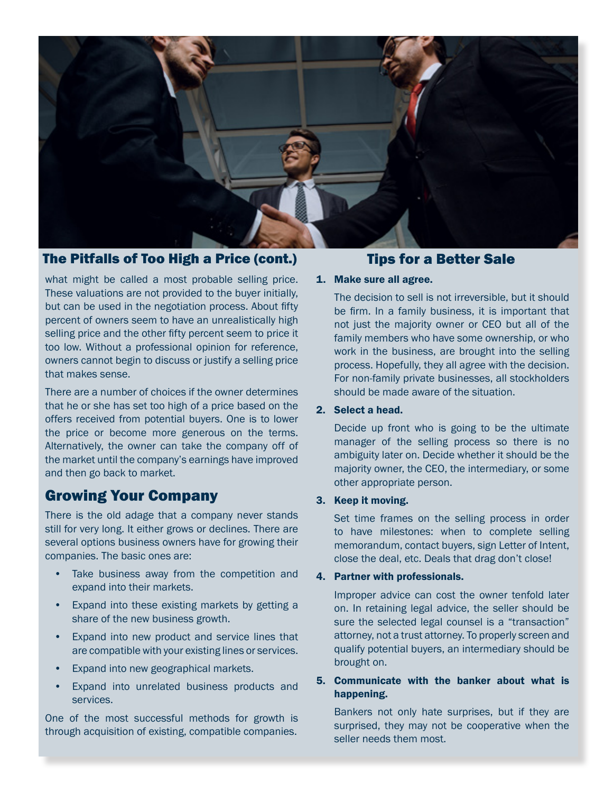

# The Pitfalls of Too High a Price (cont.) Tips for a Better Sale

what might be called a most probable selling price. These valuations are not provided to the buyer initially, but can be used in the negotiation process. About fifty percent of owners seem to have an unrealistically high selling price and the other fifty percent seem to price it too low. Without a professional opinion for reference, owners cannot begin to discuss or justify a selling price that makes sense.

There are a number of choices if the owner determines that he or she has set too high of a price based on the offers received from potential buyers. One is to lower the price or become more generous on the terms. Alternatively, the owner can take the company off of the market until the company's earnings have improved and then go back to market.

# Growing Your Company

There is the old adage that a company never stands still for very long. It either grows or declines. There are several options business owners have for growing their companies. The basic ones are:

- Take business away from the competition and expand into their markets.
- Expand into these existing markets by getting a share of the new business growth.
- Expand into new product and service lines that are compatible with your existing lines or services.
- Expand into new geographical markets.
- Expand into unrelated business products and services.

One of the most successful methods for growth is through acquisition of existing, compatible companies.

#### 1. Make sure all agree.

The decision to sell is not irreversible, but it should be firm. In a family business, it is important that not just the majority owner or CEO but all of the family members who have some ownership, or who work in the business, are brought into the selling process. Hopefully, they all agree with the decision. For non-family private businesses, all stockholders should be made aware of the situation.

#### 2. Select a head.

Decide up front who is going to be the ultimate manager of the selling process so there is no ambiguity later on. Decide whether it should be the majority owner, the CEO, the intermediary, or some other appropriate person.

#### 3. Keep it moving.

Set time frames on the selling process in order to have milestones: when to complete selling memorandum, contact buyers, sign Letter of Intent, close the deal, etc. Deals that drag don't close!

#### 4. Partner with professionals.

Improper advice can cost the owner tenfold later on. In retaining legal advice, the seller should be sure the selected legal counsel is a "transaction" attorney, not a trust attorney. To properly screen and qualify potential buyers, an intermediary should be brought on.

# 5. Communicate with the banker about what is happening.

Bankers not only hate surprises, but if they are surprised, they may not be cooperative when the seller needs them most.